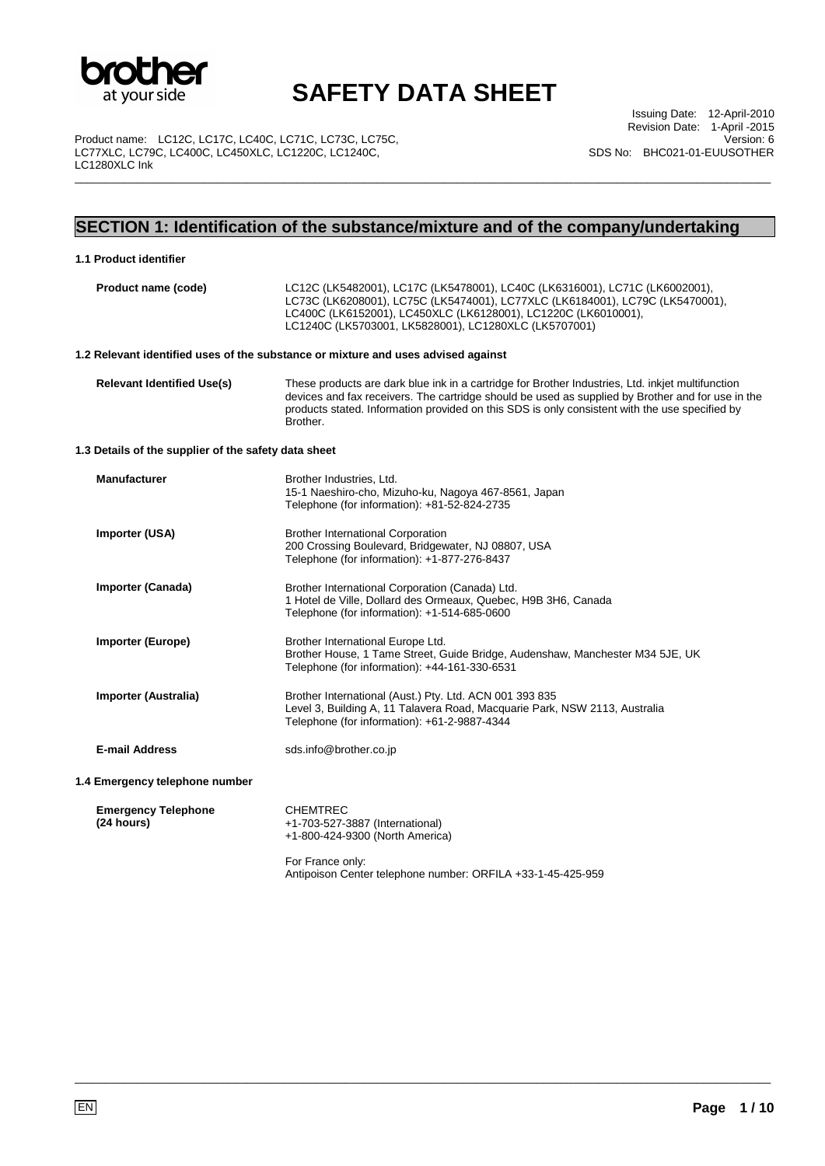

\_\_\_\_\_\_\_\_\_\_\_\_\_\_\_\_\_\_\_\_\_\_\_\_\_\_\_\_\_\_\_\_\_\_\_\_\_\_\_\_\_\_\_\_\_\_\_\_\_\_\_\_\_\_\_\_\_\_\_\_\_\_\_\_\_\_\_\_\_\_\_\_\_\_\_\_\_\_\_\_\_\_\_\_\_\_\_\_\_\_\_\_\_\_\_\_\_\_\_\_\_\_\_\_\_\_\_\_\_\_\_\_\_

Product name: LC12C, LC17C, LC40C, LC71C, LC73C, LC75C, LC77XLC, LC79C, LC400C, LC450XLC, LC1220C, LC1240C, LC1280XLC Ink

Issuing Date: 12-April-2010 Revision Date: 1-April -2015 Version: 6 SDS No: BHC021-01-EUUSOTHER

## **SECTION 1: Identification of the substance/mixture and of the company/undertaking**

| 1.1 Product identifier                               |                                                                                                                                                                                                                                                                                                                      |  |  |
|------------------------------------------------------|----------------------------------------------------------------------------------------------------------------------------------------------------------------------------------------------------------------------------------------------------------------------------------------------------------------------|--|--|
| Product name (code)                                  | LC12C (LK5482001), LC17C (LK5478001), LC40C (LK6316001), LC71C (LK6002001),<br>LC73C (LK6208001), LC75C (LK5474001), LC77XLC (LK6184001), LC79C (LK5470001),<br>LC400C (LK6152001), LC450XLC (LK6128001), LC1220C (LK6010001),<br>LC1240C (LK5703001, LK5828001), LC1280XLC (LK5707001)                              |  |  |
|                                                      | 1.2 Relevant identified uses of the substance or mixture and uses advised against                                                                                                                                                                                                                                    |  |  |
| <b>Relevant Identified Use(s)</b>                    | These products are dark blue ink in a cartridge for Brother Industries, Ltd. inkiet multifunction<br>devices and fax receivers. The cartridge should be used as supplied by Brother and for use in the<br>products stated. Information provided on this SDS is only consistent with the use specified by<br>Brother. |  |  |
| 1.3 Details of the supplier of the safety data sheet |                                                                                                                                                                                                                                                                                                                      |  |  |
| <b>Manufacturer</b>                                  | Brother Industries, Ltd.<br>15-1 Naeshiro-cho, Mizuho-ku, Nagoya 467-8561, Japan<br>Telephone (for information): +81-52-824-2735                                                                                                                                                                                     |  |  |
| Importer (USA)                                       | <b>Brother International Corporation</b><br>200 Crossing Boulevard, Bridgewater, NJ 08807, USA<br>Telephone (for information): +1-877-276-8437                                                                                                                                                                       |  |  |
| <b>Importer (Canada)</b>                             | Brother International Corporation (Canada) Ltd.<br>1 Hotel de Ville, Dollard des Ormeaux, Quebec, H9B 3H6, Canada<br>Telephone (for information): +1-514-685-0600                                                                                                                                                    |  |  |
| <b>Importer (Europe)</b>                             | Brother International Europe Ltd.<br>Brother House, 1 Tame Street, Guide Bridge, Audenshaw, Manchester M34 5JE, UK<br>Telephone (for information): +44-161-330-6531                                                                                                                                                  |  |  |
| Importer (Australia)                                 | Brother International (Aust.) Pty. Ltd. ACN 001 393 835<br>Level 3, Building A, 11 Talavera Road, Macquarie Park, NSW 2113, Australia<br>Telephone (for information): +61-2-9887-4344                                                                                                                                |  |  |
| <b>E-mail Address</b>                                | sds.info@brother.co.jp                                                                                                                                                                                                                                                                                               |  |  |
| 1.4 Emergency telephone number                       |                                                                                                                                                                                                                                                                                                                      |  |  |
| <b>Emergency Telephone</b><br>(24 hours)             | <b>CHEMTREC</b><br>+1-703-527-3887 (International)<br>+1-800-424-9300 (North America)<br>For France only:<br>Antipoison Center telephone number: ORFILA +33-1-45-425-959                                                                                                                                             |  |  |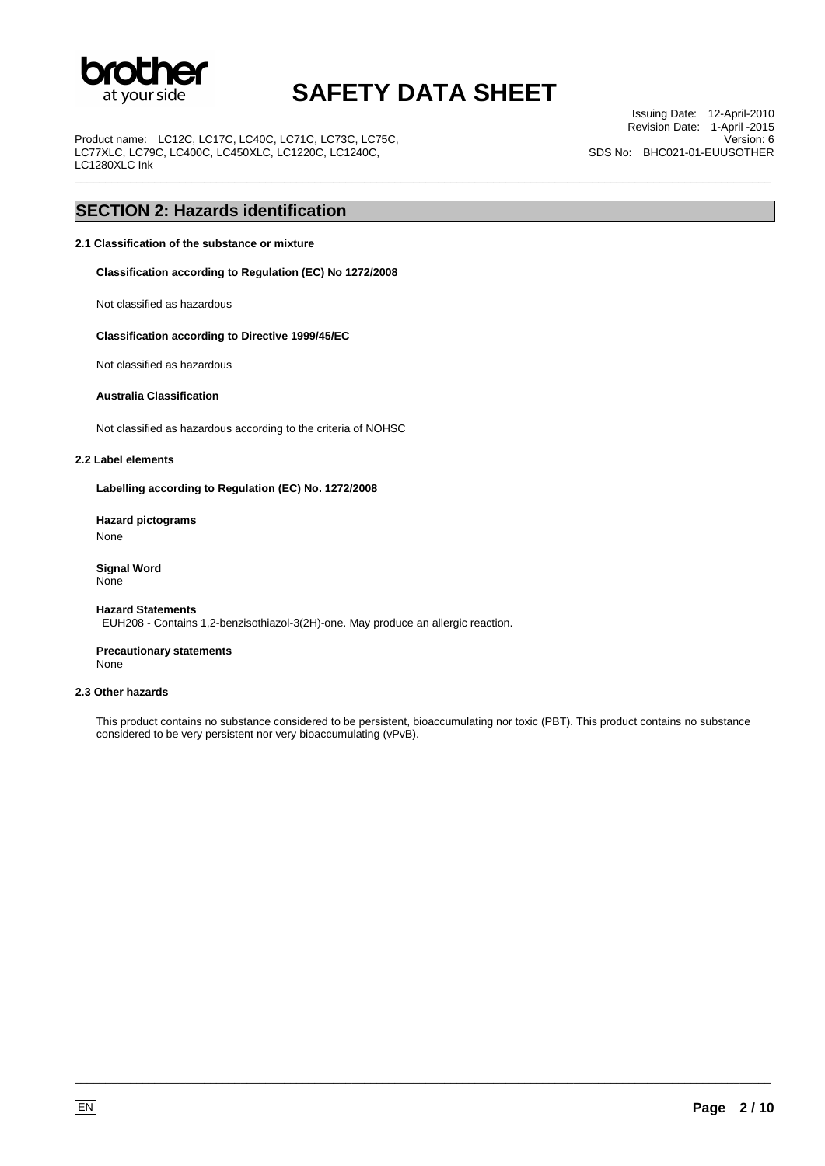

\_\_\_\_\_\_\_\_\_\_\_\_\_\_\_\_\_\_\_\_\_\_\_\_\_\_\_\_\_\_\_\_\_\_\_\_\_\_\_\_\_\_\_\_\_\_\_\_\_\_\_\_\_\_\_\_\_\_\_\_\_\_\_\_\_\_\_\_\_\_\_\_\_\_\_\_\_\_\_\_\_\_\_\_\_\_\_\_\_\_\_\_\_\_\_\_\_\_\_\_\_\_\_\_\_\_\_\_\_\_\_\_\_

Product name: LC12C, LC17C, LC40C, LC71C, LC73C, LC75C, LC77XLC, LC79C, LC400C, LC450XLC, LC1220C, LC1240C, LC1280XLC Ink

Issuing Date: 12-April-2010 Revision Date: 1-April -2015 Version: 6 SDS No: BHC021-01-EUUSOTHER

## **SECTION 2: Hazards identification**

### **2.1 Classification of the substance or mixture**

**Classification according to Regulation (EC) No 1272/2008** 

Not classified as hazardous

#### **Classification according to Directive 1999/45/EC**

Not classified as hazardous

#### **Australia Classification**

Not classified as hazardous according to the criteria of NOHSC

#### **2.2 Label elements**

**Labelling according to Regulation (EC) No. 1272/2008** 

**Hazard pictograms**  None

**Signal Word** None

#### **Hazard Statements** EUH208 - Contains 1,2-benzisothiazol-3(2H)-one. May produce an allergic reaction.

**Precautionary statements** None

### **2.3 Other hazards**

This product contains no substance considered to be persistent, bioaccumulating nor toxic (PBT). This product contains no substance considered to be very persistent nor very bioaccumulating (vPvB).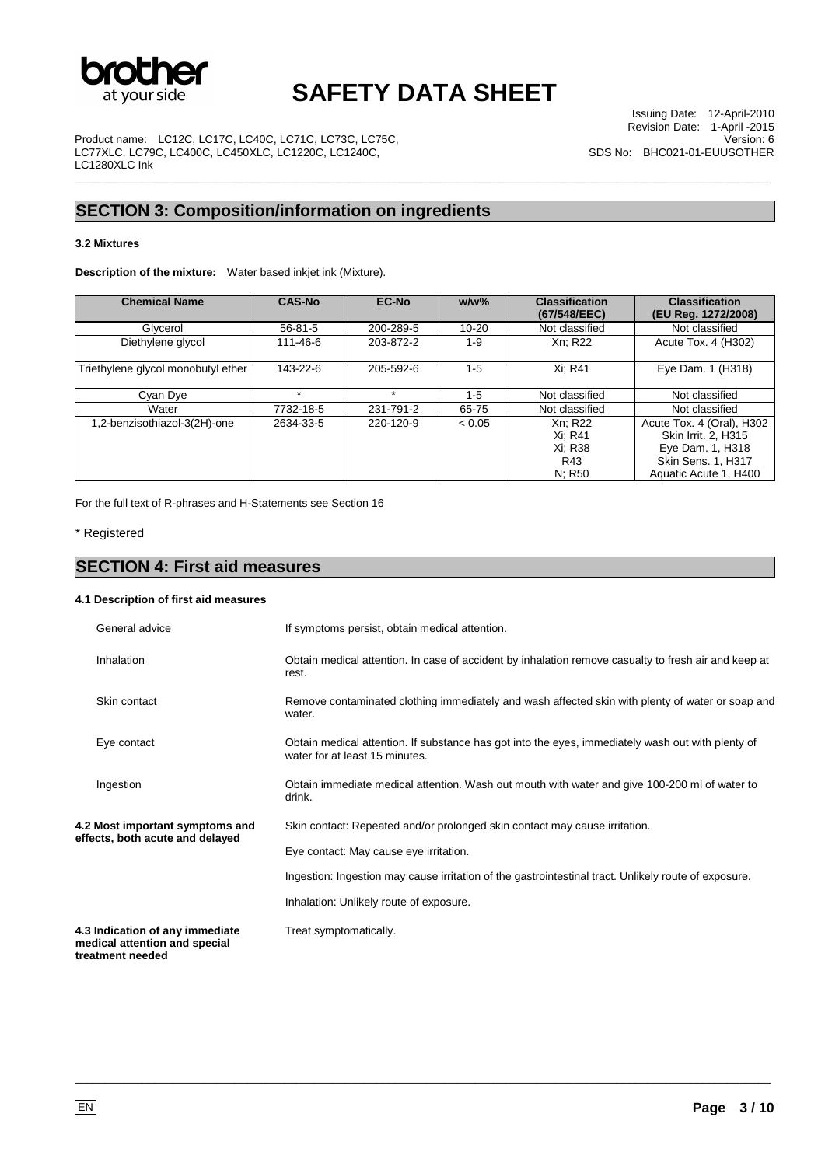

\_\_\_\_\_\_\_\_\_\_\_\_\_\_\_\_\_\_\_\_\_\_\_\_\_\_\_\_\_\_\_\_\_\_\_\_\_\_\_\_\_\_\_\_\_\_\_\_\_\_\_\_\_\_\_\_\_\_\_\_\_\_\_\_\_\_\_\_\_\_\_\_\_\_\_\_\_\_\_\_\_\_\_\_\_\_\_\_\_\_\_\_\_\_\_\_\_\_\_\_\_\_\_\_\_\_\_\_\_\_\_\_\_

Product name: LC12C, LC17C, LC40C, LC71C, LC73C, LC75C, LC77XLC, LC79C, LC400C, LC450XLC, LC1220C, LC1240C, LC1280XLC Ink

## **SECTION 3: Composition/information on ingredients**

### **3.2 Mixtures**

**Description of the mixture:** Water based inkjet ink (Mixture).

| <b>Chemical Name</b>               | <b>CAS-No</b> | EC-No     | $w/w$ %   | <b>Classification</b><br>(67/548/EEC) | <b>Classification</b><br>(EU Reg. 1272/2008) |
|------------------------------------|---------------|-----------|-----------|---------------------------------------|----------------------------------------------|
| Glycerol                           | $56 - 81 - 5$ | 200-289-5 | $10 - 20$ | Not classified                        | Not classified                               |
| Diethylene glycol                  | 111-46-6      | 203-872-2 | $1 - 9$   | Xn: R22                               | Acute Tox. 4 (H302)                          |
| Triethylene glycol monobutyl ether | 143-22-6      | 205-592-6 | $1 - 5$   | Xi: R41                               | Eye Dam. 1 (H318)                            |
| Cyan Dye                           | ÷             | $\star$   | 1-5       | Not classified                        | Not classified                               |
| Water                              | 7732-18-5     | 231-791-2 | 65-75     | Not classified                        | Not classified                               |
| 1,2-benzisothiazol-3(2H)-one       | 2634-33-5     | 220-120-9 | < 0.05    | Xn: R22                               | Acute Tox. 4 (Oral), H302                    |
|                                    |               |           |           | Xi: R41                               | Skin Irrit. 2, H315                          |
|                                    |               |           |           | Xi: R38                               | Eye Dam. 1, H318                             |
|                                    |               |           |           | R43                                   | <b>Skin Sens. 1, H317</b>                    |
|                                    |               |           |           | N; R50                                | Aquatic Acute 1, H400                        |

For the full text of R-phrases and H-Statements see Section 16

### \* Registered

## **SECTION 4: First aid measures**

### **4.1 Description of first aid measures**

| General advice                                                                       | If symptoms persist, obtain medical attention.                                                                                      |
|--------------------------------------------------------------------------------------|-------------------------------------------------------------------------------------------------------------------------------------|
| Inhalation                                                                           | Obtain medical attention. In case of accident by inhalation remove casualty to fresh air and keep at<br>rest.                       |
| Skin contact                                                                         | Remove contaminated clothing immediately and wash affected skin with plenty of water or soap and<br>water.                          |
| Eye contact                                                                          | Obtain medical attention. If substance has got into the eyes, immediately wash out with plenty of<br>water for at least 15 minutes. |
| Ingestion                                                                            | Obtain immediate medical attention. Wash out mouth with water and give 100-200 ml of water to<br>drink.                             |
| 4.2 Most important symptoms and                                                      | Skin contact: Repeated and/or prolonged skin contact may cause irritation.                                                          |
| effects, both acute and delayed                                                      | Eye contact: May cause eye irritation.                                                                                              |
|                                                                                      | Ingestion: Ingestion may cause irritation of the gastrointestinal tract. Unlikely route of exposure.                                |
|                                                                                      | Inhalation: Unlikely route of exposure.                                                                                             |
| 4.3 Indication of any immediate<br>medical attention and special<br>treatment needed | Treat symptomatically.                                                                                                              |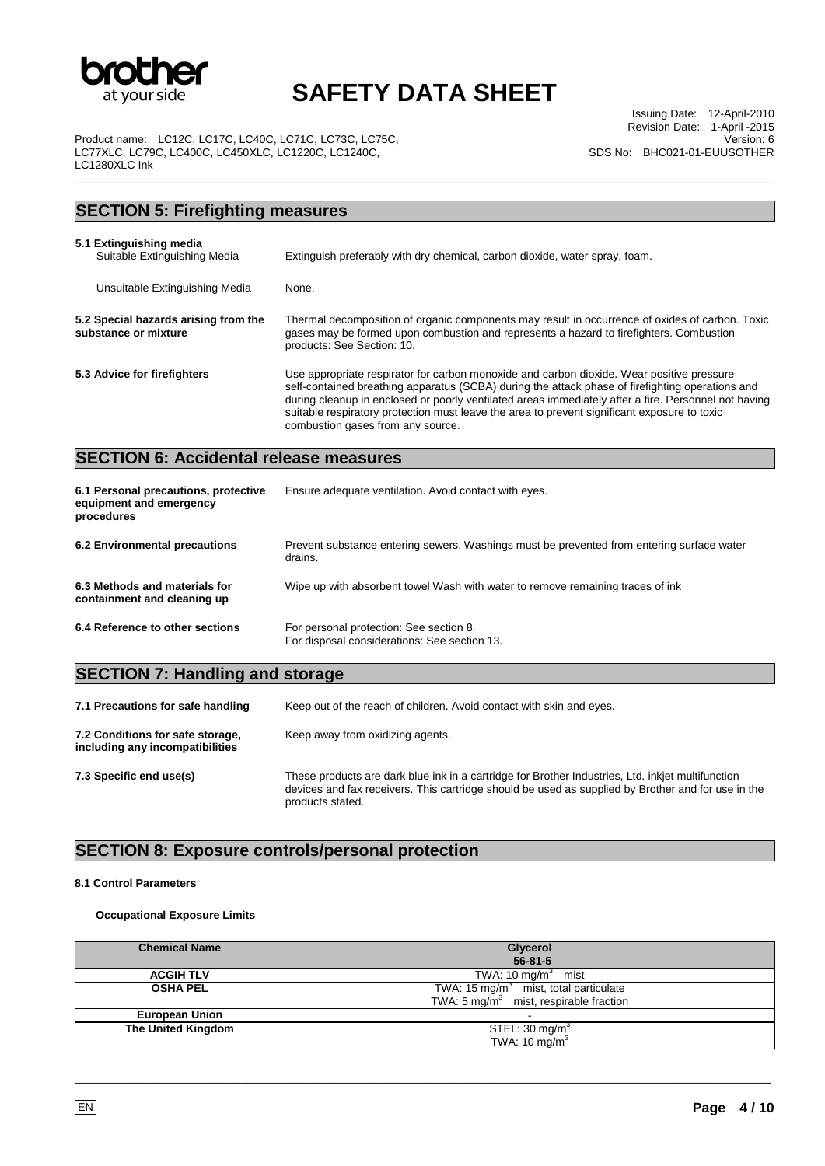

\_\_\_\_\_\_\_\_\_\_\_\_\_\_\_\_\_\_\_\_\_\_\_\_\_\_\_\_\_\_\_\_\_\_\_\_\_\_\_\_\_\_\_\_\_\_\_\_\_\_\_\_\_\_\_\_\_\_\_\_\_\_\_\_\_\_\_\_\_\_\_\_\_\_\_\_\_\_\_\_\_\_\_\_\_\_\_\_\_\_\_\_\_\_\_\_\_\_\_\_\_\_\_\_\_\_\_\_\_\_\_\_\_

Issuing Date: 12-April-2010 Revision Date: 1-April -2015 Version: 6 SDS No: BHC021-01-EUUSOTHER

Product name: LC12C, LC17C, LC40C, LC71C, LC73C, LC75C, LC77XLC, LC79C, LC400C, LC450XLC, LC1220C, LC1240C, LC1280XLC Ink

## **SECTION 5: Firefighting measures 5.1 Extinguishing media**  Extinguish preferably with dry chemical, carbon dioxide, water spray, foam. Unsuitable Extinguishing Media None. **5.2 Special hazards arising from the substance or mixture**  Thermal decomposition of organic components may result in occurrence of oxides of carbon. Toxic gases may be formed upon combustion and represents a hazard to firefighters. Combustion products: See Section: 10. **5.3 Advice for firefighters** Use appropriate respirator for carbon monoxide and carbon dioxide. Wear positive pressure self-contained breathing apparatus (SCBA) during the attack phase of firefighting operations and during cleanup in enclosed or poorly ventilated areas immediately after a fire. Personnel not having suitable respiratory protection must leave the area to prevent significant exposure to toxic combustion gases from any source. **SECTION 6: Accidental release measures 6.1 Personal precautions, protective equipment and emergency procedures**  Ensure adequate ventilation. Avoid contact with eyes. **6.2 Environmental precautions** Prevent substance entering sewers. Washings must be prevented from entering surface water drains. **6.3 Methods and materials for containment and cleaning up**  Wipe up with absorbent towel Wash with water to remove remaining traces of ink **6.4 Reference to other sections** For personal protection: See section 8. For disposal considerations: See section 13. **SECTION 7: Handling and storage**

| 7.1 Precautions for safe handling                                   | Keep out of the reach of children. Avoid contact with skin and eyes.                                                                                                                                                        |  |
|---------------------------------------------------------------------|-----------------------------------------------------------------------------------------------------------------------------------------------------------------------------------------------------------------------------|--|
| 7.2 Conditions for safe storage,<br>including any incompatibilities | Keep away from oxidizing agents.                                                                                                                                                                                            |  |
| 7.3 Specific end use(s)                                             | These products are dark blue ink in a cartridge for Brother Industries, Ltd. inkjet multifunction<br>devices and fax receivers. This cartridge should be used as supplied by Brother and for use in the<br>products stated. |  |

### **SECTION 8: Exposure controls/personal protection**

#### **8.1 Control Parameters**

### **Occupational Exposure Limits**

| <b>Chemical Name</b>      | Glycerol<br>$56 - 81 - 5$                                                                              |
|---------------------------|--------------------------------------------------------------------------------------------------------|
| <b>ACGIH TLV</b>          | TWA: $10 \text{ mg/m}^3$ mist                                                                          |
| <b>OSHA PEL</b>           | TWA: 15 mg/m <sup>3</sup> mist, total particulate<br>TWA: $5 \text{ mg/m}^3$ mist, respirable fraction |
| <b>European Union</b>     | -                                                                                                      |
| <b>The United Kingdom</b> | STEL: 30 mg/m <sup>3</sup><br>TWA: 10 $mg/m3$                                                          |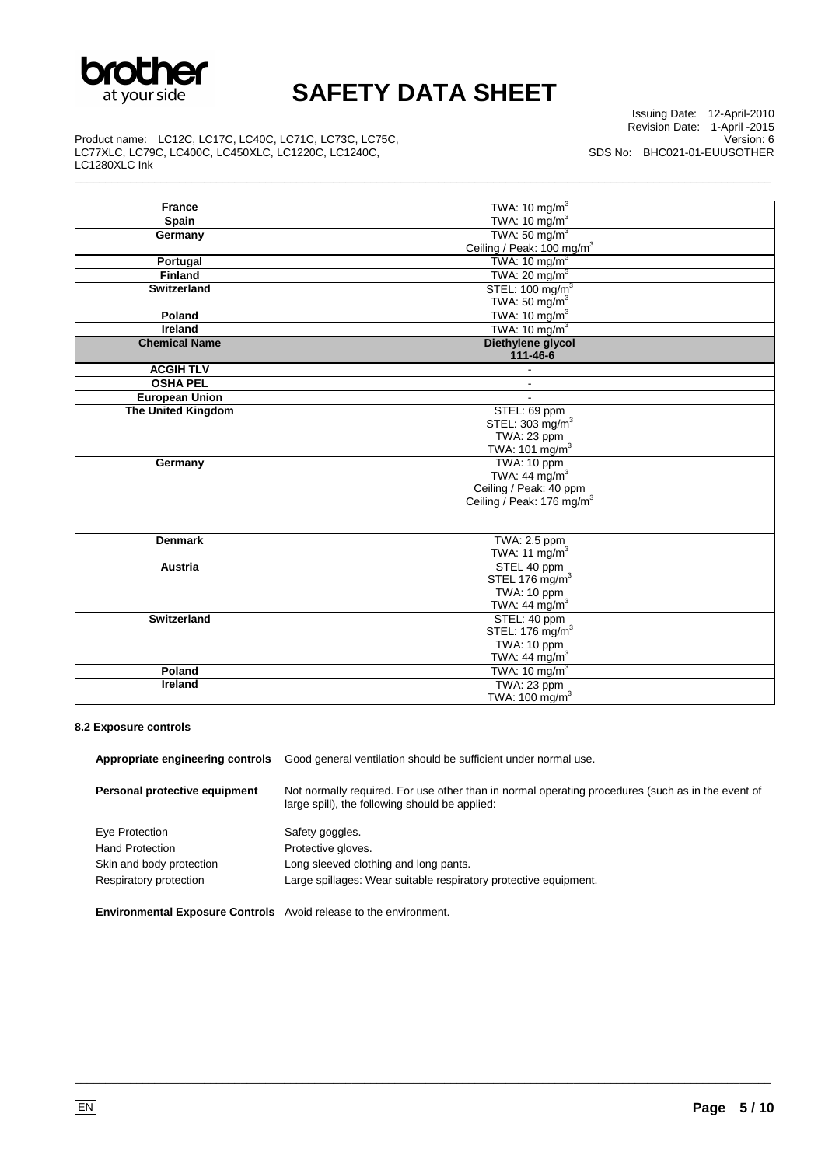

\_\_\_\_\_\_\_\_\_\_\_\_\_\_\_\_\_\_\_\_\_\_\_\_\_\_\_\_\_\_\_\_\_\_\_\_\_\_\_\_\_\_\_\_\_\_\_\_\_\_\_\_\_\_\_\_\_\_\_\_\_\_\_\_\_\_\_\_\_\_\_\_\_\_\_\_\_\_\_\_\_\_\_\_\_\_\_\_\_\_\_\_\_\_\_\_\_\_\_\_\_\_\_\_\_\_\_\_\_\_\_\_\_

Issuing Date: 12-April-2010 Revision Date: 1-April -2015 Version: 6 SDS No: BHC021-01-EUUSOTHER

Product name: LC12C, LC17C, LC40C, LC71C, LC73C, LC75C, LC77XLC, LC79C, LC400C, LC450XLC, LC1220C, LC1240C, LC1280XLC Ink

| <b>France</b>             | TWA: $10 \text{ mg/m}^3$              |
|---------------------------|---------------------------------------|
| Spain                     | TWA: $10 \text{ mg/m}^3$              |
| Germany                   | TWA: $50 \text{ mg/m}^3$              |
|                           | Ceiling / Peak: 100 mg/m <sup>3</sup> |
| Portugal                  | TWA: $10 \text{ mg/m}^3$              |
| <b>Finland</b>            | TWA: $20 \text{ mg/m}^3$              |
| <b>Switzerland</b>        | STEL: 100 mg/m <sup>3</sup>           |
|                           | TWA: 50 mg/ $m3$                      |
| Poland                    | TWA: $10 \text{ mg/m}^3$              |
| Ireland                   | TWA: $10 \text{ mg/m}^3$              |
| <b>Chemical Name</b>      | Diethylene glycol                     |
|                           | 111-46-6                              |
| <b>ACGIH TLV</b>          |                                       |
| <b>OSHA PEL</b>           | ٠                                     |
| <b>European Union</b>     | $\sim$                                |
| <b>The United Kingdom</b> | STEL: 69 ppm                          |
|                           | STEL: 303 mg/m <sup>3</sup>           |
|                           | TWA: 23 ppm                           |
|                           | TWA: 101 mg/m <sup>3</sup>            |
| Germany                   | TWA: 10 ppm                           |
|                           | TWA: 44 mg/m <sup>3</sup>             |
|                           | Ceiling / Peak: 40 ppm                |
|                           | Ceiling / Peak: 176 mg/m <sup>3</sup> |
|                           |                                       |
| <b>Denmark</b>            | TWA: 2.5 ppm                          |
|                           | TWA: 11 $mg/m3$                       |
| <b>Austria</b>            | STEL 40 ppm                           |
|                           | STEL 176 $mg/m3$                      |
|                           | TWA: 10 ppm                           |
|                           | TWA: 44 mg/m $3$                      |
| Switzerland               | STEL: 40 ppm                          |
|                           | STEL: 176 mg/m <sup>3</sup>           |
|                           | TWA: 10 ppm                           |
|                           | TWA: $44 \text{ mg/m}^3$              |
| Poland                    | TWA: $10 \text{ mg/m}^3$              |
| Ireland                   | TWA: 23 ppm                           |
|                           | TWA: 100 mg/m <sup>3</sup>            |

#### **8.2 Exposure controls**

| Appropriate engineering controls                                         | Good general ventilation should be sufficient under normal use.                                                                                     |  |  |
|--------------------------------------------------------------------------|-----------------------------------------------------------------------------------------------------------------------------------------------------|--|--|
| Personal protective equipment                                            | Not normally required. For use other than in normal operating procedures (such as in the event of<br>large spill), the following should be applied: |  |  |
| Eye Protection                                                           | Safety goggles.                                                                                                                                     |  |  |
| <b>Hand Protection</b>                                                   | Protective gloves.                                                                                                                                  |  |  |
| Skin and body protection                                                 | Long sleeved clothing and long pants.                                                                                                               |  |  |
| Respiratory protection                                                   | Large spillages: Wear suitable respiratory protective equipment.                                                                                    |  |  |
| <b>Environmental Exposure Controls</b> Avoid release to the environment. |                                                                                                                                                     |  |  |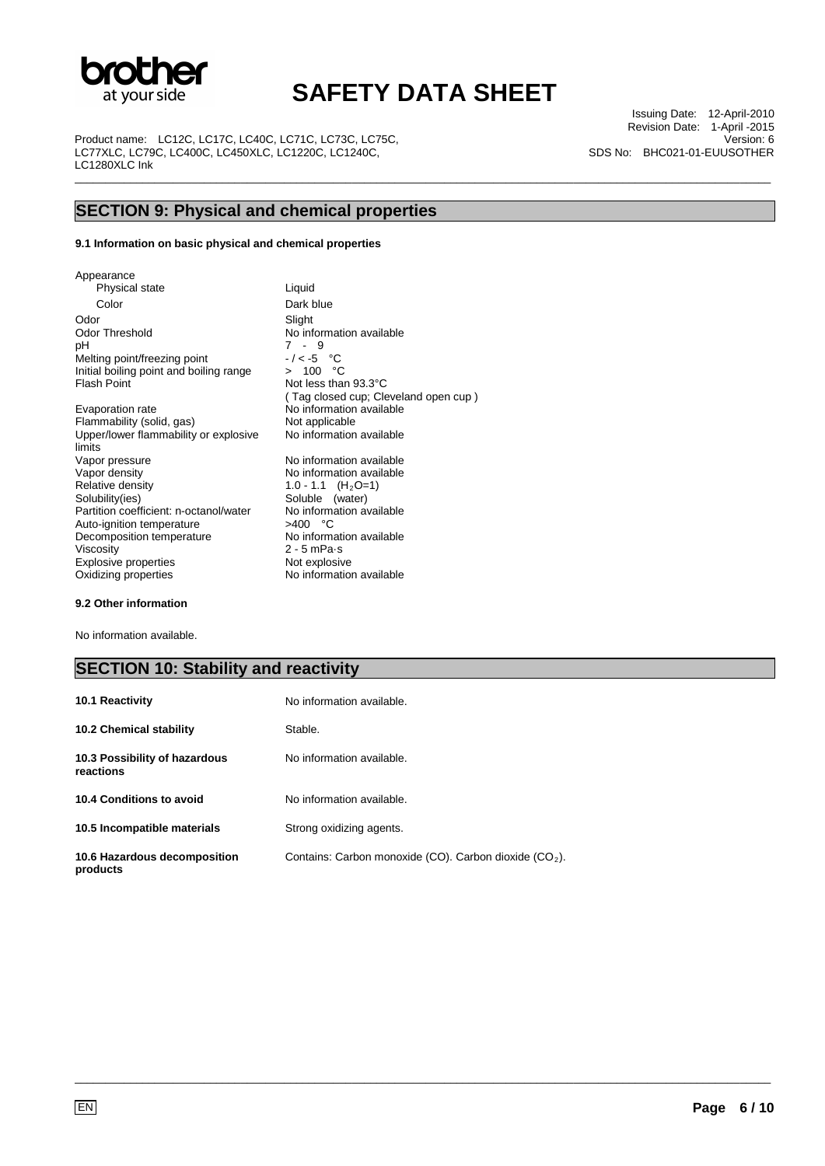

\_\_\_\_\_\_\_\_\_\_\_\_\_\_\_\_\_\_\_\_\_\_\_\_\_\_\_\_\_\_\_\_\_\_\_\_\_\_\_\_\_\_\_\_\_\_\_\_\_\_\_\_\_\_\_\_\_\_\_\_\_\_\_\_\_\_\_\_\_\_\_\_\_\_\_\_\_\_\_\_\_\_\_\_\_\_\_\_\_\_\_\_\_\_\_\_\_\_\_\_\_\_\_\_\_\_\_\_\_\_\_\_\_

Product name: LC12C, LC17C, LC40C, LC71C, LC73C, LC75C, LC77XLC, LC79C, LC400C, LC450XLC, LC1220C, LC1240C, LC1280XLC Ink

Issuing Date: 12-April-2010 Revision Date: 1-April -2015 Version: 6 SDS No: BHC021-01-EUUSOTHER

## **SECTION 9: Physical and chemical properties**

#### **9.1 Information on basic physical and chemical properties**

Appearance Physical state Liquid Color Dark blue Odor Slight<br>
Odor Threshold Moinfr Odor Threshold No information available<br>pH 7 - 9 Melting point/freezing point Initial boiling point and boiling range<br>Flash Point

Evaporation rate **No information available**<br>
Flammability (solid, gas) **Not** applicable Flammability (solid, gas) Upper/lower flammability or explosive limits<br>Vapor pressure Vapor pressure **No information available**<br>
Vapor density **No information available** Vapor density  $V$ apor density  $V = NQ - 1.1$  (H<sub>2</sub>O=1) Relative density 1.0 - 1.1 (H<sub>2</sub>O=1)<br>Solubility(ies) Soluble (water) Partition coefficient: n-octanol/water No information available metalson available No information and C Auto-ignition temperature  $>400$  °C<br>Decomposition temperature No information available Decomposition temperature Viscosity 2 - 5 mPa·s<br>Explosive properties Not explosive Explosive properties<br>Oxidizing properties

 $7 - 9$ <br>-/<-5 °C<br>> 100 °C Not less than 93.3°C ( Tag closed cup; Cleveland open cup ) No information available Soluble (water)<br>No information available No information available

#### **9.2 Other information**

No information available.

### **SECTION 10: Stability and reactivity**

| <b>10.1 Reactivity</b>                     | No information available.                                |
|--------------------------------------------|----------------------------------------------------------|
| <b>10.2 Chemical stability</b>             | Stable.                                                  |
| 10.3 Possibility of hazardous<br>reactions | No information available.                                |
| 10.4 Conditions to avoid                   | No information available.                                |
| 10.5 Incompatible materials                | Strong oxidizing agents.                                 |
| 10.6 Hazardous decomposition<br>products   | Contains: Carbon monoxide (CO). Carbon dioxide $(CO2)$ . |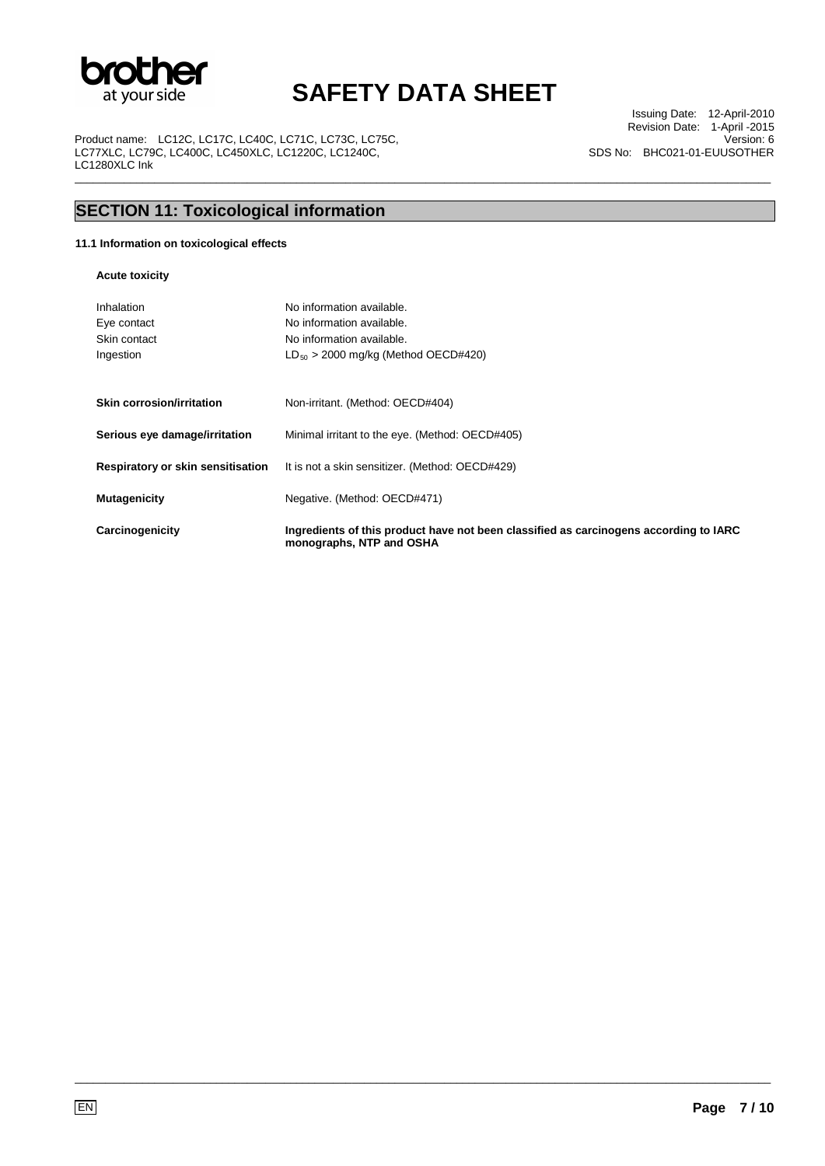

\_\_\_\_\_\_\_\_\_\_\_\_\_\_\_\_\_\_\_\_\_\_\_\_\_\_\_\_\_\_\_\_\_\_\_\_\_\_\_\_\_\_\_\_\_\_\_\_\_\_\_\_\_\_\_\_\_\_\_\_\_\_\_\_\_\_\_\_\_\_\_\_\_\_\_\_\_\_\_\_\_\_\_\_\_\_\_\_\_\_\_\_\_\_\_\_\_\_\_\_\_\_\_\_\_\_\_\_\_\_\_\_\_

Product name: LC12C, LC17C, LC40C, LC71C, LC73C, LC75C, LC77XLC, LC79C, LC400C, LC450XLC, LC1220C, LC1240C, LC1280XLC Ink

Issuing Date: 12-April-2010 Revision Date: 1-April -2015 Version: 6 SDS No: BHC021-01-EUUSOTHER

## **SECTION 11: Toxicological information**

### **11.1 Information on toxicological effects**

**Acute toxicity** 

| Inhalation<br>Eye contact<br>Skin contact<br>Ingestion | No information available.<br>No information available.<br>No information available.<br>$LD_{50}$ > 2000 mg/kg (Method OECD#420) |
|--------------------------------------------------------|---------------------------------------------------------------------------------------------------------------------------------|
| Skin corrosion/irritation                              | Non-irritant. (Method: OECD#404)                                                                                                |
| Serious eye damage/irritation                          | Minimal irritant to the eye. (Method: OECD#405)                                                                                 |
| Respiratory or skin sensitisation                      | It is not a skin sensitizer. (Method: OECD#429)                                                                                 |
| <b>Mutagenicity</b>                                    | Negative. (Method: OECD#471)                                                                                                    |
| Carcinogenicity                                        | Ingredients of this product have not been classified as carcinogens according to IARC<br>monographs, NTP and OSHA               |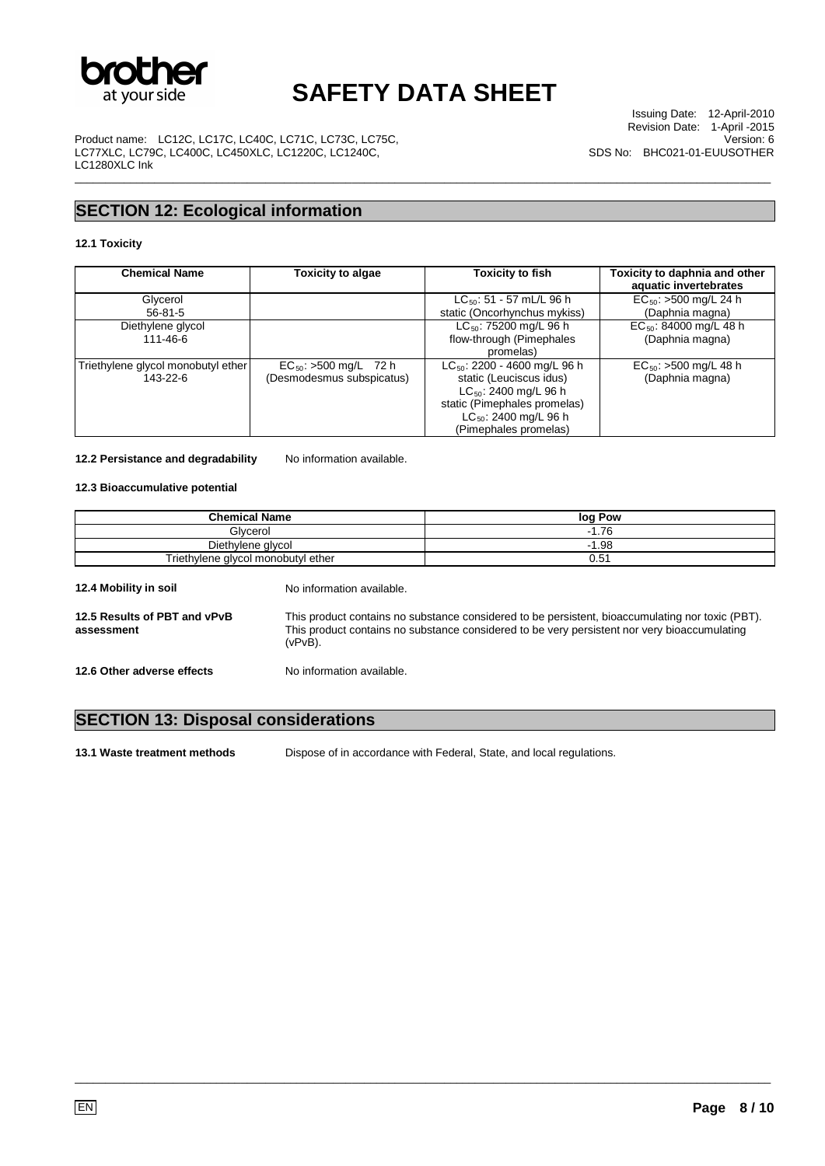

\_\_\_\_\_\_\_\_\_\_\_\_\_\_\_\_\_\_\_\_\_\_\_\_\_\_\_\_\_\_\_\_\_\_\_\_\_\_\_\_\_\_\_\_\_\_\_\_\_\_\_\_\_\_\_\_\_\_\_\_\_\_\_\_\_\_\_\_\_\_\_\_\_\_\_\_\_\_\_\_\_\_\_\_\_\_\_\_\_\_\_\_\_\_\_\_\_\_\_\_\_\_\_\_\_\_\_\_\_\_\_\_\_

Product name: LC12C, LC17C, LC40C, LC71C, LC73C, LC75C, LC77XLC, LC79C, LC400C, LC450XLC, LC1220C, LC1240C, LC1280XLC Ink

Issuing Date: 12-April-2010 Revision Date: 1-April -2015 Version: 6 SDS No: BHC021-01-EUUSOTHER

## **SECTION 12: Ecological information**

### **12.1 Toxicity**

| <b>Chemical Name</b>               | Toxicity to algae          | <b>Toxicity to fish</b>           | Toxicity to daphnia and other<br>aquatic invertebrates |
|------------------------------------|----------------------------|-----------------------------------|--------------------------------------------------------|
| Glycerol                           |                            | $LC_{50}$ : 51 - 57 mL/L 96 h     | $EC_{50}$ : >500 mg/L 24 h                             |
| $56 - 81 - 5$                      |                            | static (Oncorhynchus mykiss)      | (Daphnia magna)                                        |
| Diethylene glycol                  |                            | $LC_{50}$ : 75200 mg/L 96 h       | $EC_{50}$ : 84000 mg/L 48 h                            |
| 111-46-6                           |                            | flow-through (Pimephales          | (Daphnia magna)                                        |
|                                    |                            | promelas)                         |                                                        |
| Triethylene glycol monobutyl ether | $EC_{50}$ : >500 mg/L 72 h | $LC_{50}$ : 2200 - 4600 mg/L 96 h | $EC_{50}$ : >500 mg/L 48 h                             |
| 143-22-6                           | (Desmodesmus subspicatus)  | static (Leuciscus idus)           | (Daphnia magna)                                        |
|                                    |                            | $LC_{50}$ : 2400 mg/L 96 h        |                                                        |
|                                    |                            | static (Pimephales promelas)      |                                                        |
|                                    |                            | $LC_{50}$ : 2400 mg/L 96 h        |                                                        |
|                                    |                            | (Pimephales promelas)             |                                                        |

#### 12.2 Persistance and degradability No information available.

### **12.3 Bioaccumulative potential**

| <b>Chemical Name</b>                       |                                                                                                                                                                                                                | log Pow |
|--------------------------------------------|----------------------------------------------------------------------------------------------------------------------------------------------------------------------------------------------------------------|---------|
| Glycerol                                   |                                                                                                                                                                                                                | $-1.76$ |
| Diethylene glycol                          |                                                                                                                                                                                                                | $-1.98$ |
|                                            | Triethylene glycol monobutyl ether<br>0.51                                                                                                                                                                     |         |
| 12.4 Mobility in soil                      | No information available.                                                                                                                                                                                      |         |
| 12.5 Results of PBT and vPvB<br>assessment | This product contains no substance considered to be persistent, bioaccumulating nor toxic (PBT).<br>This product contains no substance considered to be very persistent nor very bioaccumulating<br>$(vPvB)$ . |         |
| 12.6 Other adverse effects                 | No information available.                                                                                                                                                                                      |         |

## **SECTION 13: Disposal considerations**

**13.1 Waste treatment methods** Dispose of in accordance with Federal, State, and local regulations.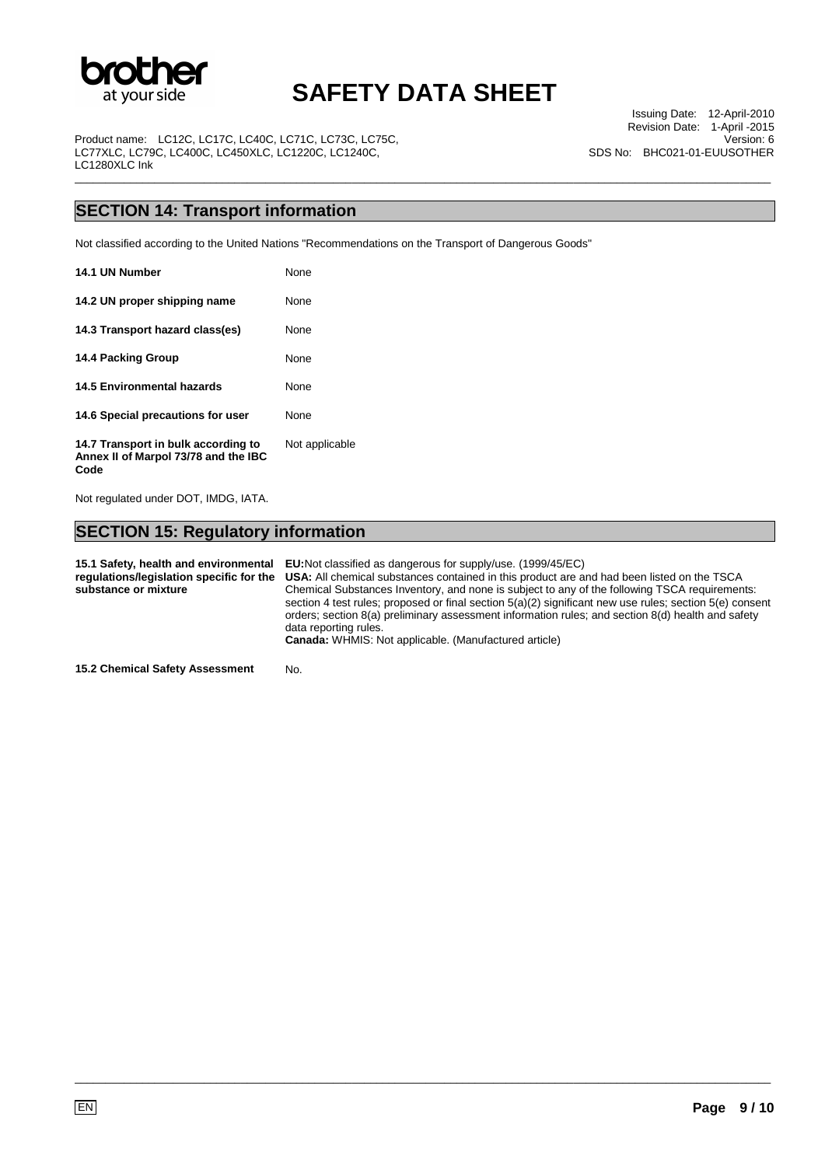

\_\_\_\_\_\_\_\_\_\_\_\_\_\_\_\_\_\_\_\_\_\_\_\_\_\_\_\_\_\_\_\_\_\_\_\_\_\_\_\_\_\_\_\_\_\_\_\_\_\_\_\_\_\_\_\_\_\_\_\_\_\_\_\_\_\_\_\_\_\_\_\_\_\_\_\_\_\_\_\_\_\_\_\_\_\_\_\_\_\_\_\_\_\_\_\_\_\_\_\_\_\_\_\_\_\_\_\_\_\_\_\_\_

Product name: LC12C, LC17C, LC40C, LC71C, LC73C, LC75C, LC77XLC, LC79C, LC400C, LC450XLC, LC1220C, LC1240C, LC1280XLC Ink

Issuing Date: 12-April-2010 Revision Date: 1-April -2015 Version: 6 SDS No: BHC021-01-EUUSOTHER

## **SECTION 14: Transport information**

Not classified according to the United Nations "Recommendations on the Transport of Dangerous Goods"

| 14.1 UN Number                                                                      | None           |
|-------------------------------------------------------------------------------------|----------------|
| 14.2 UN proper shipping name                                                        | None           |
| 14.3 Transport hazard class(es)                                                     | None           |
| 14.4 Packing Group                                                                  | None           |
| 14.5 Environmental hazards                                                          | None           |
| 14.6 Special precautions for user                                                   | None           |
| 14.7 Transport in bulk according to<br>Annex II of Marpol 73/78 and the IBC<br>Code | Not applicable |

Not regulated under DOT, IMDG, IATA.

## **SECTION 15: Regulatory information**

**15.1 Safety, health and environmental regulations/legislation specific for the substance or mixture EU:**Not classified as dangerous for supply/use. (1999/45/EC) **USA:** All chemical substances contained in this product are and had been listed on the TSCA Chemical Substances Inventory, and none is subject to any of the following TSCA requirements: section 4 test rules; proposed or final section 5(a)(2) significant new use rules; section 5(e) consent orders; section 8(a) preliminary assessment information rules; and section 8(d) health and safety data reporting rules. **Canada:** WHMIS: Not applicable. (Manufactured article)

\_\_\_\_\_\_\_\_\_\_\_\_\_\_\_\_\_\_\_\_\_\_\_\_\_\_\_\_\_\_\_\_\_\_\_\_\_\_\_\_\_\_\_\_\_\_\_\_\_\_\_\_\_\_\_\_\_\_\_\_\_\_\_\_\_\_\_\_\_\_\_\_\_\_\_\_\_\_\_\_\_\_\_\_\_\_\_\_\_\_\_\_\_\_\_\_\_\_\_\_\_\_\_\_\_\_\_\_\_\_\_\_\_

**15.2 Chemical Safety Assessment** No.